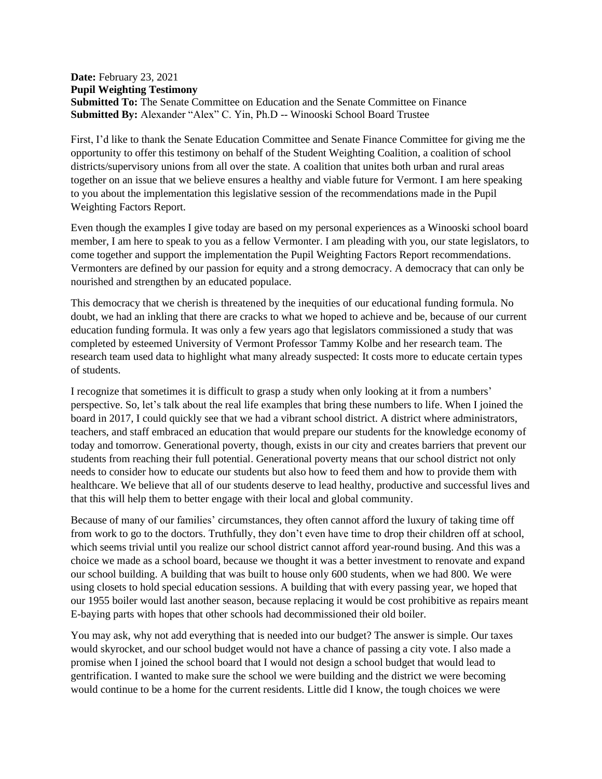## **Date:** February 23, 2021 **Pupil Weighting Testimony Submitted To:** The Senate Committee on Education and the Senate Committee on Finance **Submitted By:** Alexander "Alex" C. Yin, Ph.D -- Winooski School Board Trustee

First, I'd like to thank the Senate Education Committee and Senate Finance Committee for giving me the opportunity to offer this testimony on behalf of the Student Weighting Coalition, a coalition of school districts/supervisory unions from all over the state. A coalition that unites both urban and rural areas together on an issue that we believe ensures a healthy and viable future for Vermont. I am here speaking to you about the implementation this legislative session of the recommendations made in the Pupil Weighting Factors Report.

Even though the examples I give today are based on my personal experiences as a Winooski school board member, I am here to speak to you as a fellow Vermonter. I am pleading with you, our state legislators, to come together and support the implementation the Pupil Weighting Factors Report recommendations. Vermonters are defined by our passion for equity and a strong democracy. A democracy that can only be nourished and strengthen by an educated populace.

This democracy that we cherish is threatened by the inequities of our educational funding formula. No doubt, we had an inkling that there are cracks to what we hoped to achieve and be, because of our current education funding formula. It was only a few years ago that legislators commissioned a study that was completed by esteemed University of Vermont Professor Tammy Kolbe and her research team. The research team used data to highlight what many already suspected: It costs more to educate certain types of students.

I recognize that sometimes it is difficult to grasp a study when only looking at it from a numbers' perspective. So, let's talk about the real life examples that bring these numbers to life. When I joined the board in 2017, I could quickly see that we had a vibrant school district. A district where administrators, teachers, and staff embraced an education that would prepare our students for the knowledge economy of today and tomorrow. Generational poverty, though, exists in our city and creates barriers that prevent our students from reaching their full potential. Generational poverty means that our school district not only needs to consider how to educate our students but also how to feed them and how to provide them with healthcare. We believe that all of our students deserve to lead healthy, productive and successful lives and that this will help them to better engage with their local and global community.

Because of many of our families' circumstances, they often cannot afford the luxury of taking time off from work to go to the doctors. Truthfully, they don't even have time to drop their children off at school, which seems trivial until you realize our school district cannot afford year-round busing. And this was a choice we made as a school board, because we thought it was a better investment to renovate and expand our school building. A building that was built to house only 600 students, when we had 800. We were using closets to hold special education sessions. A building that with every passing year, we hoped that our 1955 boiler would last another season, because replacing it would be cost prohibitive as repairs meant E-baying parts with hopes that other schools had decommissioned their old boiler.

You may ask, why not add everything that is needed into our budget? The answer is simple. Our taxes would skyrocket, and our school budget would not have a chance of passing a city vote. I also made a promise when I joined the school board that I would not design a school budget that would lead to gentrification. I wanted to make sure the school we were building and the district we were becoming would continue to be a home for the current residents. Little did I know, the tough choices we were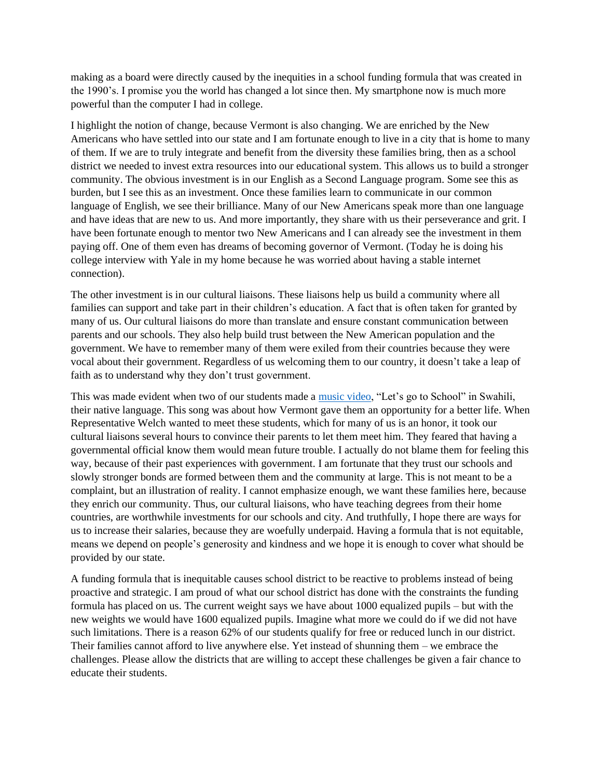making as a board were directly caused by the inequities in a school funding formula that was created in the 1990's. I promise you the world has changed a lot since then. My smartphone now is much more powerful than the computer I had in college.

I highlight the notion of change, because Vermont is also changing. We are enriched by the New Americans who have settled into our state and I am fortunate enough to live in a city that is home to many of them. If we are to truly integrate and benefit from the diversity these families bring, then as a school district we needed to invest extra resources into our educational system. This allows us to build a stronger community. The obvious investment is in our English as a Second Language program. Some see this as burden, but I see this as an investment. Once these families learn to communicate in our common language of English, we see their brilliance. Many of our New Americans speak more than one language and have ideas that are new to us. And more importantly, they share with us their perseverance and grit. I have been fortunate enough to mentor two New Americans and I can already see the investment in them paying off. One of them even has dreams of becoming governor of Vermont. (Today he is doing his college interview with Yale in my home because he was worried about having a stable internet connection).

The other investment is in our cultural liaisons. These liaisons help us build a community where all families can support and take part in their children's education. A fact that is often taken for granted by many of us. Our cultural liaisons do more than translate and ensure constant communication between parents and our schools. They also help build trust between the New American population and the government. We have to remember many of them were exiled from their countries because they were vocal about their government. Regardless of us welcoming them to our country, it doesn't take a leap of faith as to understand why they don't trust government.

This was made evident when two of our students made a [music video,](https://www.sevendaysvt.com/vermont/new-american-students-make-a-music-video-about-the-thrill-of-school/Content?oid=29358099) "Let's go to School" in Swahili, their native language. This song was about how Vermont gave them an opportunity for a better life. When Representative Welch wanted to meet these students, which for many of us is an honor, it took our cultural liaisons several hours to convince their parents to let them meet him. They feared that having a governmental official know them would mean future trouble. I actually do not blame them for feeling this way, because of their past experiences with government. I am fortunate that they trust our schools and slowly stronger bonds are formed between them and the community at large. This is not meant to be a complaint, but an illustration of reality. I cannot emphasize enough, we want these families here, because they enrich our community. Thus, our cultural liaisons, who have teaching degrees from their home countries, are worthwhile investments for our schools and city. And truthfully, I hope there are ways for us to increase their salaries, because they are woefully underpaid. Having a formula that is not equitable, means we depend on people's generosity and kindness and we hope it is enough to cover what should be provided by our state.

A funding formula that is inequitable causes school district to be reactive to problems instead of being proactive and strategic. I am proud of what our school district has done with the constraints the funding formula has placed on us. The current weight says we have about 1000 equalized pupils – but with the new weights we would have 1600 equalized pupils. Imagine what more we could do if we did not have such limitations. There is a reason 62% of our students qualify for free or reduced lunch in our district. Their families cannot afford to live anywhere else. Yet instead of shunning them – we embrace the challenges. Please allow the districts that are willing to accept these challenges be given a fair chance to educate their students.